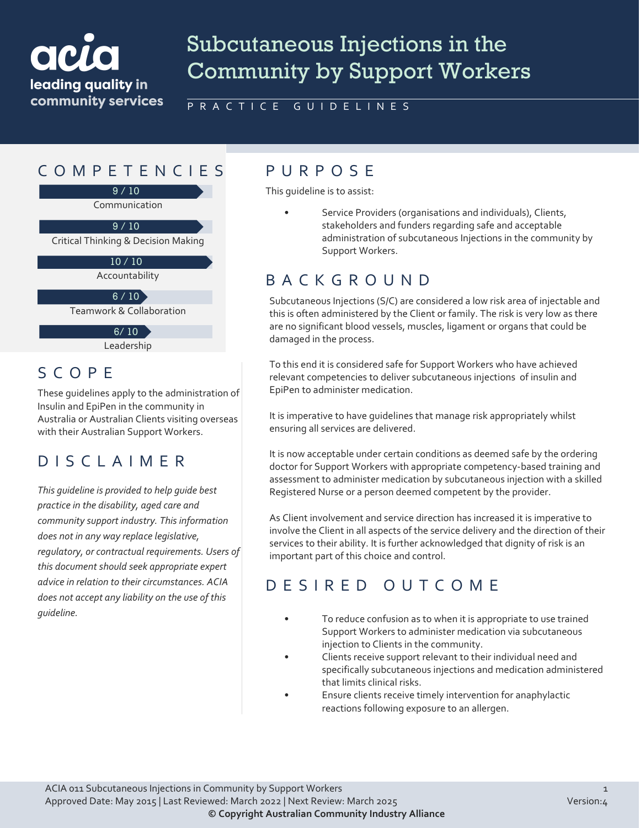# ack leading quality in community services

# Subcutaneous Injections in the Community by Support Workers

PRACTICE GUIDELINES

#### COMPETENCIES PURPOS E

9 / 10

Communication

Critical Thinking & Decision Making  $9/10$ 

Accountability  $10/10$ 

 $6 / 10$ 

Teamwork & Collaboration

6/ 10

Leadership

#### SCOPE

These guidelines apply to the administration of Insulin and EpiPen in the community in Australia or Australian Clients visiting overseas with their Australian Support Workers.

### DISCLAIMER

*This guideline is provided to help guide best practice in the disability, aged care and community support industry. This information does not in any way replace legislative, regulatory, or contractual requirements. Users of this document should seek appropriate expert advice in relation to their circumstances. ACIA does not accept any liability on the use of this guideline.*

This guideline is to assist:

Service Providers (organisations and individuals), Clients, stakeholders and funders regarding safe and acceptable administration of subcutaneous Injections in the community by Support Workers.

### BACKGROUND

Subcutaneous Injections (S/C) are considered a low risk area of injectable and this is often administered by the Client or family. The risk is very low as there are no significant blood vessels, muscles, ligament or organs that could be damaged in the process.

To this end it is considered safe for Support Workers who have achieved relevant competencies to deliver subcutaneous injections of insulin and EpiPen to administer medication.

It is imperative to have guidelines that manage risk appropriately whilst ensuring all services are delivered.

It is now acceptable under certain conditions as deemed safe by the ordering doctor for Support Workers with appropriate competency-based training and assessment to administer medication by subcutaneous injection with a skilled Registered Nurse or a person deemed competent by the provider.

As Client involvement and service direction has increased it is imperative to involve the Client in all aspects of the service delivery and the direction of their services to their ability. It is further acknowledged that dignity of risk is an important part of this choice and control.

### DESIRED OUTCOME

- To reduce confusion as to when it is appropriate to use trained Support Workers to administer medication via subcutaneous injection to Clients in the community.
- Clients receive support relevant to their individual need and specifically subcutaneous injections and medication administered that limits clinical risks.
- Ensure clients receive timely intervention for anaphylactic reactions following exposure to an allergen.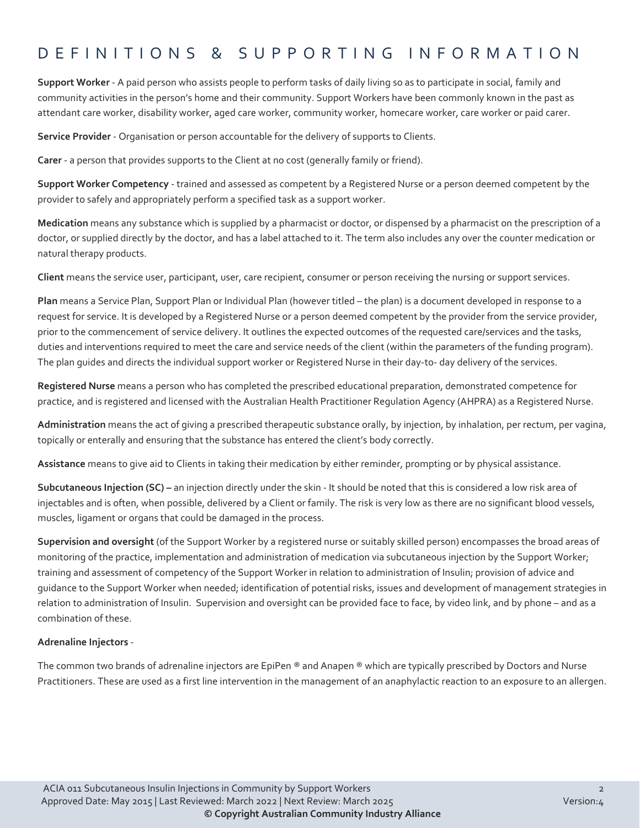#### DEFINITIONS & SUPPORTING INFORMATIO N

**Support Worker** - A paid person who assists people to perform tasks of daily living so as to participate in social, family and community activities in the person's home and their community. Support Workers have been commonly known in the past as attendant care worker, disability worker, aged care worker, community worker, homecare worker, care worker or paid carer.

**Service Provider** - Organisation or person accountable for the delivery of supports to Clients.

**Carer** - a person that provides supports to the Client at no cost (generally family or friend).

**Support Worker Competency** - trained and assessed as competent by a Registered Nurse or a person deemed competent by the provider to safely and appropriately perform a specified task as a support worker.

**Medication** means any substance which is supplied by a pharmacist or doctor, or dispensed by a pharmacist on the prescription of a doctor, or supplied directly by the doctor, and has a label attached to it. The term also includes any over the counter medication or natural therapy products.

**Client** means the service user, participant, user, care recipient, consumer or person receiving the nursing or support services.

**Plan** means a Service Plan, Support Plan or Individual Plan (however titled – the plan) is a document developed in response to a request for service. It is developed by a Registered Nurse or a person deemed competent by the provider from the service provider, prior to the commencement of service delivery. It outlines the expected outcomes of the requested care/services and the tasks, duties and interventions required to meet the care and service needs of the client (within the parameters of the funding program). The plan guides and directs the individual support worker or Registered Nurse in their day-to- day delivery of the services.

**Registered Nurse** means a person who has completed the prescribed educational preparation, demonstrated competence for practice, and is registered and licensed with the Australian Health Practitioner Regulation Agency (AHPRA) as a Registered Nurse.

**Administration** means the act of giving a prescribed therapeutic substance orally, by injection, by inhalation, per rectum, per vagina, topically or enterally and ensuring that the substance has entered the client's body correctly.

**Assistance** means to give aid to Clients in taking their medication by either reminder, prompting or by physical assistance.

**Subcutaneous Injection (SC) –** an injection directly under the skin - It should be noted that this is considered a low risk area of injectables and is often, when possible, delivered by a Client or family. The risk is very low as there are no significant blood vessels, muscles, ligament or organs that could be damaged in the process.

**Supervision and oversight** (of the Support Worker by a registered nurse or suitably skilled person) encompasses the broad areas of monitoring of the practice, implementation and administration of medication via subcutaneous injection by the Support Worker; training and assessment of competency of the Support Worker in relation to administration of Insulin; provision of advice and guidance to the Support Worker when needed; identification of potential risks, issues and development of management strategies in relation to administration of Insulin. Supervision and oversight can be provided face to face, by video link, and by phone – and as a combination of these.

#### **Adrenaline Injectors** -

The common two brands of adrenaline injectors are EpiPen ® and Anapen ® which are typically prescribed by Doctors and Nurse Practitioners. These are used as a first line intervention in the management of an anaphylactic reaction to an exposure to an allergen.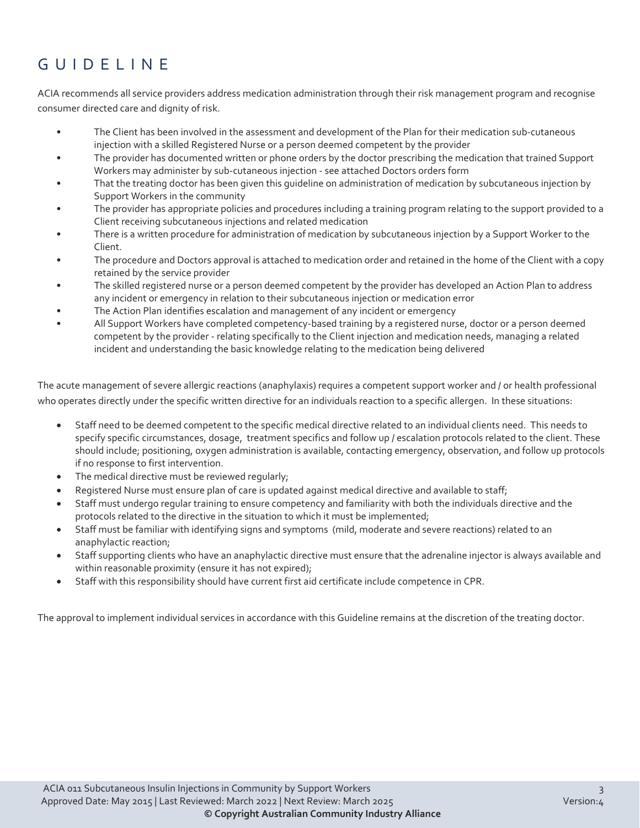## GUIDELINE

ACIA recommends all service providers address medication administration through their risk management program and recognise consumer directed care and dignity of risk.

- The Client has been involved in the assessment and development of the Plan for their medication sub-cutaneous injection with a skilled Registered Nurse or a person deemed competent by the provider
- The provider has documented written or phone orders by the doctor prescribing the medication that trained Support Workers may administer by sub-cutaneous injection - see attached Doctors orders form
- That the treating doctor has been given this guideline on administration of medication by subcutaneous injection by Support Workers in the community
- The provider has appropriate policies and procedures including a training program relating to the support provided to a Client receiving subcutaneous injections and related medication
- There is a written procedure for administration of medication by subcutaneous injection by a Support Worker to the Client.
- The procedure and Doctors approval is attached to medication order and retained in the home of the Client with a copy retained by the service provider
- The skilled registered nurse or a person deemed competent by the provider has developed an Action Plan to address any incident or emergency in relation to their subcutaneous injection or medication error
- The Action Plan identifies escalation and management of any incident or emergency
- All Support Workers have completed competency-based training by a registered nurse, doctor or a person deemed competent by the provider - relating specifically to the Client injection and medication needs, managing a related incident and understanding the basic knowledge relating to the medication being delivered

The acute management of severe allergic reactions (anaphylaxis) requires a competent support worker and / or health professional who operates directly under the specific written directive for an individuals reaction to a specific allergen. In these situations:

- Staff need to be deemed competent to the specific medical directive related to an individual clients need. This needs to specify specific circumstances, dosage, treatment specifics and follow up / escalation protocols related to the client. These should include; positioning, oxygen administration is available, contacting emergency, observation, and follow up protocols if no response to first intervention.
- The medical directive must be reviewed regularly;
- Registered Nurse must ensure plan of care is updated against medical directive and available to staff;
- Staff must undergo regular training to ensure competency and familiarity with both the individuals directive and the protocols related to the directive in the situation to which it must be implemented;
- Staff must be familiar with identifying signs and symptoms (mild, moderate and severe reactions) related to an anaphylactic reaction;
- Staff supporting clients who have an anaphylactic directive must ensure that the adrenaline injector is always available and within reasonable proximity (ensure it has not expired);
- Staff with this responsibility should have current first aid certificate include competence in CPR.

The approval to implement individual services in accordance with this Guideline remains at the discretion of the treating doctor.